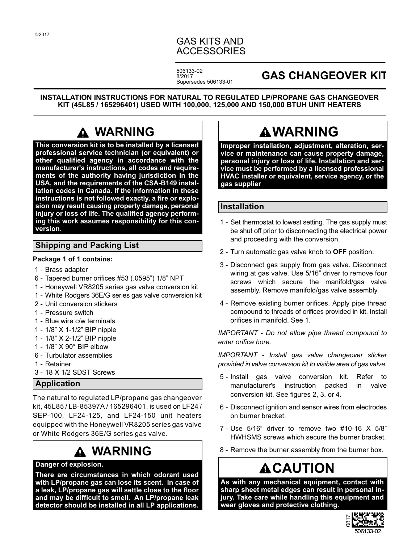# GAS KITS AND ACCESSORIES

506133-02 8/2017 Supersedes 506133-01

# **GAS CHANGEOVER KIT**

**INSTALLATION INSTRUCTIONS FOR NATURAL TO REGULATED LP/PROPANE GAS CHANGEOVER KIT (45L85 / 165296401) USED WITH 100,000, 125,000 AND 150,000 BTUH UNIT HEATERS**

# **WARNING**

**This conversion kit is to be installed by a licensed professional service technician (or equivalent) or other qualified agency in accordance with the manufacturer's instructions, all codes and requirements of the authority having jurisdiction in the USA, and the requirements of the CSA-B149 installation codes in Canada. If the information in these instructions is not followed exactly, a fire or explosion may result causing property damage, personal injury or loss of life. The qualified agency performing this work assumes responsibility for this conversion.**

# **Shipping and Packing List**

**Package 1 of 1 contains:**

- 1 Brass adapter
- 6 Tapered burner orifices #53 (.0595") 1/8" NPT
- 1 Honeywell VR8205 series gas valve conversion kit
- 1 White Rodgers 36E/G series gas valve conversion kit
- 2 Unit conversion stickers
- 1 Pressure switch
- 1 Blue wire c/w terminals
- 1 1/8" X 1‐1/2" BIP nipple
- 1 1/8" X 2‐1/2" BIP nipple
- 1 1/8" X 90° BIP elbow
- 6 Turbulator assemblies
- 1 Retainer
- 3 18 X 1/2 SDST Screws

# **Application**

The natural to regulated LP/propane gas changeover kit, 45L85 / LB-85397A / 165296401, is used on LF24 / SEP-100, LF24-125, and LF24-150 unit heaters equipped with the Honeywell VR8205 series gas valve or White Rodgers 36E/G series gas valve.

# **WARNING**

#### **Danger of explosion.**

**There are circumstances in which odorant used with LP/propane gas can lose its scent. In case of a leak, LP/propane gas will settle close to the floor and may be difficult to smell. An LP/propane leak detector should be installed in all LP applications.**

# **WARNING**

**Improper installation, adjustment, alteration, service or maintenance can cause property damage, personal injury or loss of life. Installation and service must be performed by a licensed professional HVAC installer or equivalent, service agency, or the gas supplier**

# **Installation**

- 1 Set thermostat to lowest setting. The gas supply must be shut off prior to disconnecting the electrical power and proceeding with the conversion.
- 2 Turn automatic gas valve knob to **OFF** position.
- 3 Disconnect gas supply from gas valve. Disconnect wiring at gas valve. Use 5/16" driver to remove four screws which secure the manifold/gas valve assembly. Remove manifold/gas valve assembly.
- 4 Remove existing burner orifices. Apply pipe thread compound to threads of orifices provided in kit. Install orifices in manifold. See [1](#page-1-0).

*IMPORTANT - Do not allow pipe thread compound to enter orifice bore.*

*IMPORTANT - Install gas valve changeover sticker provided in valve conversion kit to visible area of gas valve.*

- 5 Install gas valve conversion kit. Refer to manufacturer's instruction packed in valve conversion kit. See figures [2](#page-1-0), [3,](#page-1-0) or [4](#page-1-0).
- 6 Disconnect ignition and sensor wires from electrodes on burner bracket.
- 7 Use 5/16" driver to remove two #10-16 X 5/8" HWHSMS screws which secure the burner bracket.
- 8 Remove the burner assembly from the burner box.

# **ACAUTION**

**As with any mechanical equipment, contact with sharp sheet metal edges can result in personal injury. Take care while handling this equipment and wear gloves and protective clothing.**

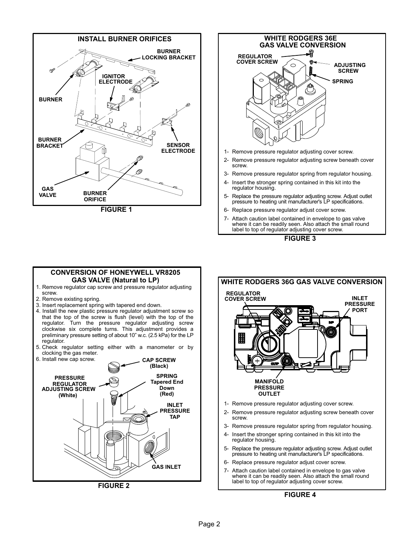<span id="page-1-0"></span>



- 6- Replace pressure regulator adjust cover screw.
- 7- Attach caution label contained in envelope to gas valve where it can be readily seen. Also attach the small round label to top of regulator adjusting cover screw.



#### **CONVERSION OF HONEYWELL VR8205 GAS VALVE (Natural to LP)**

- 1. Remove regulator cap screw and pressure regulator adjusting screw.
- 2. Remove existing spring.
- 3. Insert replacement spring with tapered end down.
- 4. Install the new plastic pressure regulator adjustment screw so that the top of the screw is flush (level) with the top of the regulator. Turn the pressure regulator adjusting screw clockwise six complete turns. This adjustment provides a preliminary pressure setting of about 10" w.c. (2.5 kPa) for the LP regulator.
- 5. Check regulator setting either with a manometer or by clocking the gas meter.





- 3- Remove pressure regulator spring from regulator housing.
- 4- Insert the stronger spring contained in this kit into the regulator housing.
- 5- Replace the pressure regulator adjusting screw. Adjust outlet pressure to heating unit manufacturer's LP specifications.
- 6- Replace pressure regulator adjust cover screw.
- 7- Attach caution label contained in envelope to gas valve where it can be readily seen. Also attach the small round label to top of regulator adjusting cover screw.

**FIGURE 4**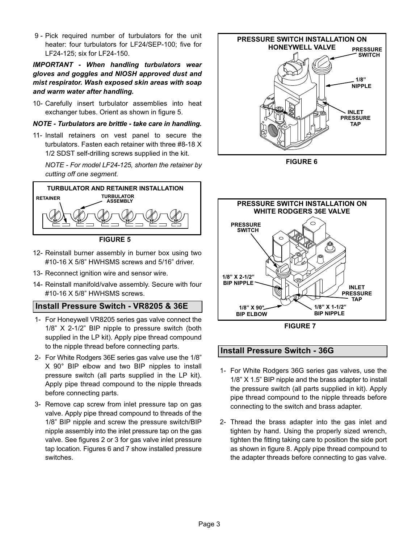9 - Pick required number of turbulators for the unit heater: four turbulators for LF24/SEP-100; five for LF24-125; six for LF24-150.

### *IMPORTANT - When handling turbulators wear gloves and goggles and NIOSH approved dust and mist respirator. Wash exposed skin areas with soap and warm water after handling.*

10- Carefully insert turbulator assemblies into heat exchanger tubes. Orient as shown in figure 5.

#### *NOTE - Turbulators are brittle - take care in handling.*

11- Install retainers on vest panel to secure the turbulators. Fasten each retainer with three #8-18 X 1/2 SDST self-drilling screws supplied in the kit.

*NOTE - For model LF24-125, shorten the retainer by cutting off one segment.*



**FIGURE 5**

- 12- Reinstall burner assembly in burner box using two #10-16 X 5/8" HWHSMS screws and 5/16" driver.
- 13- Reconnect ignition wire and sensor wire.
- 14- Reinstall manifold/valve assembly. Secure with four #10-16 X 5/8" HWHSMS screws.

# **Install Pressure Switch - VR8205 & 36E**

- 1- For Honeywell VR8205 series gas valve connect the 1/8" X 2-1/2" BIP nipple to pressure switch (both supplied in the LP kit). Apply pipe thread compound to the nipple thread before connecting parts.
- 2- For White Rodgers 36E series gas valve use the 1/8" X 90° BIP elbow and two BIP nipples to install pressure switch (all parts supplied in the LP kit). Apply pipe thread compound to the nipple threads before connecting parts.
- 3- Remove cap screw from inlet pressure tap on gas valve. Apply pipe thread compound to threads of the 1/8" BIP nipple and screw the pressure switch/BIP nipple assembly into the inlet pressure tap on the gas valve. See figures [2](#page-1-0) or [3](#page-1-0) for gas valve inlet pressure tap location. Figures 6 and 7 show installed pressure switches.



**FIGURE 6**



**FIGURE 7**

# **Install Pressure Switch - 36G**

- 1- For White Rodgers 36G series gas valves, use the 1/8" X 1.5" BIP nipple and the brass adapter to install the pressure switch (all parts supplied in kit). Apply pipe thread compound to the nipple threads before connecting to the switch and brass adapter.
- 2- Thread the brass adapter into the gas inlet and tighten by hand. Using the properly sized wrench, tighten the fitting taking care to position the side port as shown in figure [8](#page-3-0). Apply pipe thread compound to the adapter threads before connecting to gas valve.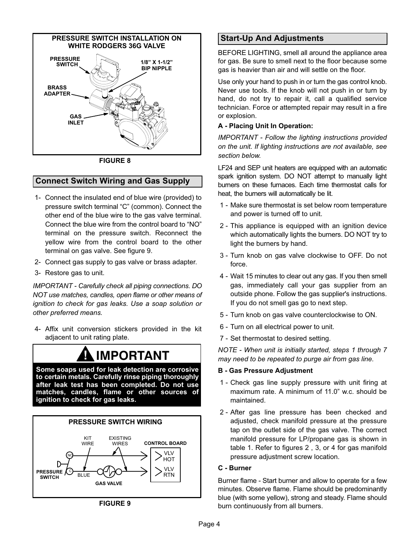<span id="page-3-0"></span>

**FIGURE 8**

# **Connect Switch Wiring and Gas Supply**

- 1- Connect the insulated end of blue wire (provided) to pressure switch terminal "C" (common). Connect the other end of the blue wire to the gas valve terminal. Connect the blue wire from the control board to "NO" terminal on the pressure switch. Reconnect the yellow wire from the control board to the other terminal on gas valve. See figure 9.
- 2- Connect gas supply to gas valve or brass adapter.
- 3- Restore gas to unit.

*IMPORTANT - Carefully check all piping connections. DO NOT use matches, candles, open flame or other means of ignition to check for gas leaks. Use a soap solution or other preferred means.*

 4- Affix unit conversion stickers provided in the kit adjacent to unit rating plate.

# **! IMPORTANT**

**Some soaps used for leak detection are corrosive to certain metals. Carefully rinse piping thoroughly after leak test has been completed. Do not use matches, candles, flame or other sources of ignition to check for gas leaks.**



**FIGURE 9**

# **Start-Up And Adjustments**

BEFORE LIGHTING, smell all around the appliance area for gas. Be sure to smell next to the floor because some gas is heavier than air and will settle on the floor.

Use only your hand to push in or turn the gas control knob. Never use tools. If the knob will not push in or turn by hand, do not try to repair it, call a qualified service technician. Force or attempted repair may result in a fire or explosion.

### **A - Placing Unit In Operation:**

*IMPORTANT - Follow the lighting instructions provided on the unit. If lighting instructions are not available, see section below.*

LF24 and SEP unit heaters are equipped with an automatic spark ignition system. DO NOT attempt to manually light burners on these furnaces. Each time thermostat calls for heat, the burners will automatically be lit.

- 1 Make sure thermostat is set below room temperature and power is turned off to unit.
- 2 This appliance is equipped with an ignition device which automatically lights the burners. DO NOT try to light the burners by hand.
- 3 Turn knob on gas valve clockwise to OFF. Do not force.
- 4 Wait 15 minutes to clear out any gas. If you then smell gas, immediately call your gas supplier from an outside phone. Follow the gas supplier's instructions. If you do not smell gas go to next step.
- 5 Turn knob on gas valve counterclockwise to ON.
- 6 Turn on all electrical power to unit.
- 7 Set thermostat to desired setting.

*NOTE - When unit is initially started, steps 1 through 7 may need to be repeated to purge air from gas line.*

#### **B - Gas Pressure Adjustment**

- 1 Check gas line supply pressure with unit firing at maximum rate. A minimum of 11.0" w.c. should be maintained.
- 2 After gas line pressure has been checked and adjusted, check manifold pressure at the pressure tap on the outlet side of the gas valve. The correct manifold pressure for LP/propane gas is shown in table 1. Refer to figures [2](#page-1-0) , [3](#page-1-0), or [4](#page-1-0) for gas manifold pressure adjustment screw location.

#### **C - Burner**

Burner flame - Start burner and allow to operate for a few minutes. Observe flame. Flame should be predominantly blue (with some yellow), strong and steady. Flame should burn continuously from all burners.